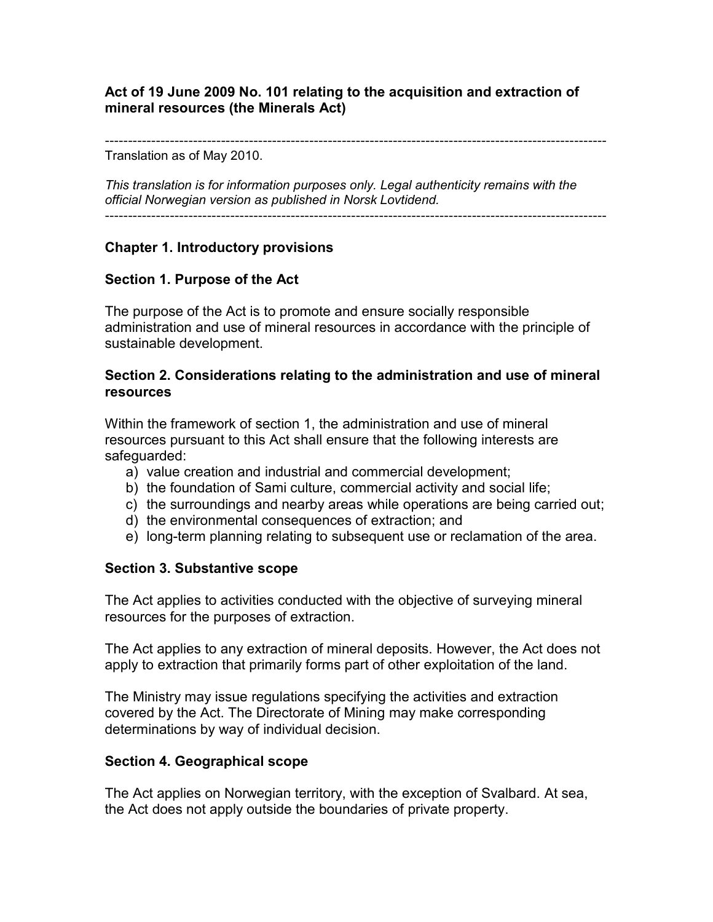### **Act of 19 June 2009 No. 101 relating to the acquisition and extraction of mineral resources (the Minerals Act)**

------------------------------------------------------------------------------------------------------------

Translation as of May 2010.

*This translation is for information purposes only. Legal authenticity remains with the official Norwegian version as published in Norsk Lovtidend.*

------------------------------------------------------------------------------------------------------------

## **Chapter 1. Introductory provisions**

## **Section 1. Purpose of the Act**

The purpose of the Act is to promote and ensure socially responsible administration and use of mineral resources in accordance with the principle of sustainable development.

#### **Section 2. Considerations relating to the administration and use of mineral resources**

Within the framework of section 1, the administration and use of mineral resources pursuant to this Act shall ensure that the following interests are safeguarded:

- a) value creation and industrial and commercial development;
- b) the foundation of Sami culture, commercial activity and social life;
- c) the surroundings and nearby areas while operations are being carried out;
- d) the environmental consequences of extraction; and
- e) long-term planning relating to subsequent use or reclamation of the area.

### **Section 3. Substantive scope**

The Act applies to activities conducted with the objective of surveying mineral resources for the purposes of extraction.

The Act applies to any extraction of mineral deposits. However, the Act does not apply to extraction that primarily forms part of other exploitation of the land.

The Ministry may issue regulations specifying the activities and extraction covered by the Act. The Directorate of Mining may make corresponding determinations by way of individual decision.

### **Section 4. Geographical scope**

The Act applies on Norwegian territory, with the exception of Svalbard. At sea, the Act does not apply outside the boundaries of private property.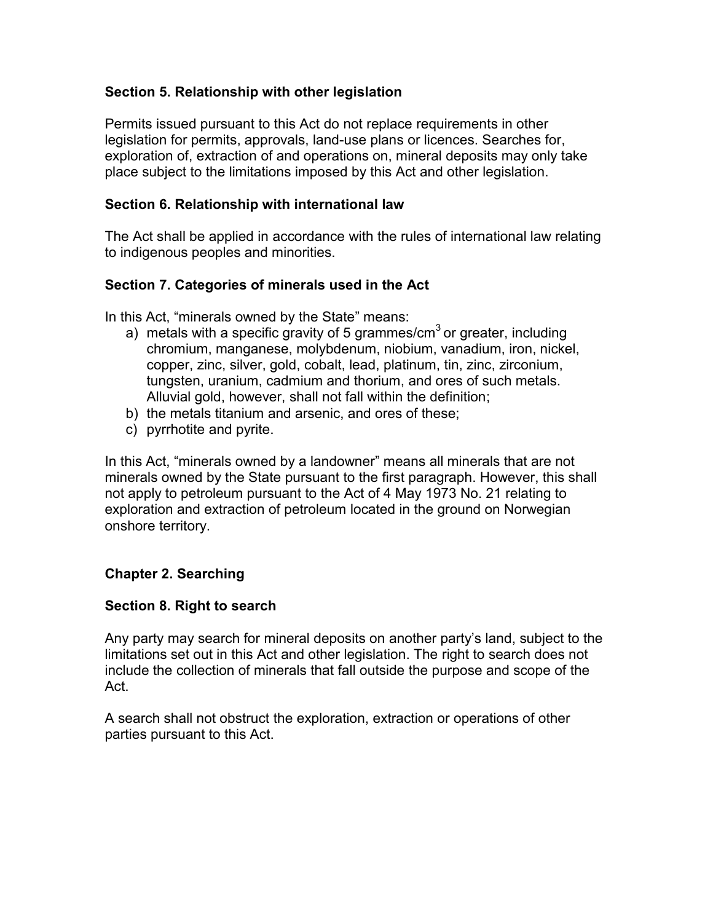## **Section 5. Relationship with other legislation**

Permits issued pursuant to this Act do not replace requirements in other legislation for permits, approvals, land-use plans or licences. Searches for, exploration of, extraction of and operations on, mineral deposits may only take place subject to the limitations imposed by this Act and other legislation.

### **Section 6. Relationship with international law**

The Act shall be applied in accordance with the rules of international law relating to indigenous peoples and minorities.

## **Section 7. Categories of minerals used in the Act**

In this Act, "minerals owned by the State" means:

- a) metals with a specific gravity of 5 grammes/cm<sup>3</sup> or greater, including chromium, manganese, molybdenum, niobium, vanadium, iron, nickel, copper, zinc, silver, gold, cobalt, lead, platinum, tin, zinc, zirconium, tungsten, uranium, cadmium and thorium, and ores of such metals. Alluvial gold, however, shall not fall within the definition;
- b) the metals titanium and arsenic, and ores of these;
- c) pyrrhotite and pyrite.

In this Act, "minerals owned by a landowner" means all minerals that are not minerals owned by the State pursuant to the first paragraph. However, this shall not apply to petroleum pursuant to the Act of 4 May 1973 No. 21 relating to exploration and extraction of petroleum located in the ground on Norwegian onshore territory.

## **Chapter 2. Searching**

### **Section 8. Right to search**

Any party may search for mineral deposits on another party's land, subject to the limitations set out in this Act and other legislation. The right to search does not include the collection of minerals that fall outside the purpose and scope of the Act.

A search shall not obstruct the exploration, extraction or operations of other parties pursuant to this Act.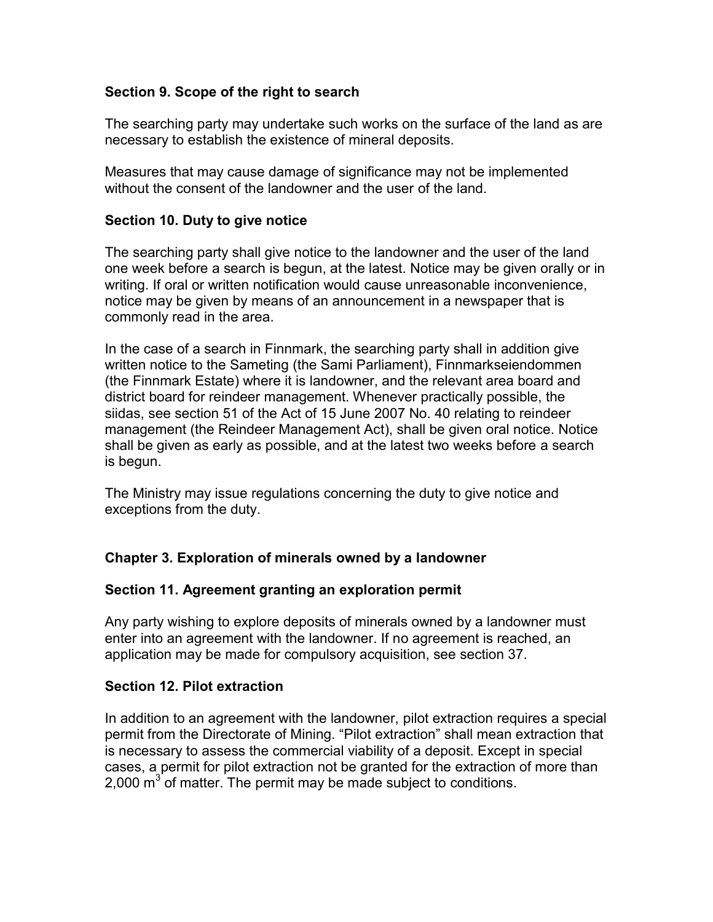## **Section 9. Scope of the right to search**

The searching party may undertake such works on the surface of the land as are necessary to establish the existence of mineral deposits.

Measures that may cause damage of significance may not be implemented without the consent of the landowner and the user of the land.

## **Section 10. Duty to give notice**

The searching party shall give notice to the landowner and the user of the land one week before a search is begun, at the latest. Notice may be given orally or in writing. If oral or written notification would cause unreasonable inconvenience, notice may be given by means of an announcement in a newspaper that is commonly read in the area.

In the case of a search in Finnmark, the searching party shall in addition give written notice to the Sameting (the Sami Parliament), Finnmarkseiendommen (the Finnmark Estate) where it is landowner, and the relevant area board and district board for reindeer management. Whenever practically possible, the siidas, see section 51 of the Act of 15 June 2007 No. 40 relating to reindeer management (the Reindeer Management Act), shall be given oral notice. Notice shall be given as early as possible, and at the latest two weeks before a search is begun.

The Ministry may issue regulations concerning the duty to give notice and exceptions from the duty.

## **Chapter 3. Exploration of minerals owned by a landowner**

### **Section 11. Agreement granting an exploration permit**

Any party wishing to explore deposits of minerals owned by a landowner must enter into an agreement with the landowner. If no agreement is reached, an application may be made for compulsory acquisition, see section 37.

### **Section 12. Pilot extraction**

In addition to an agreement with the landowner, pilot extraction requires a special permit from the Directorate of Mining. "Pilot extraction" shall mean extraction that is necessary to assess the commercial viability of a deposit. Except in special cases, a permit for pilot extraction not be granted for the extraction of more than 2,000  $m^3$  of matter. The permit may be made subject to conditions.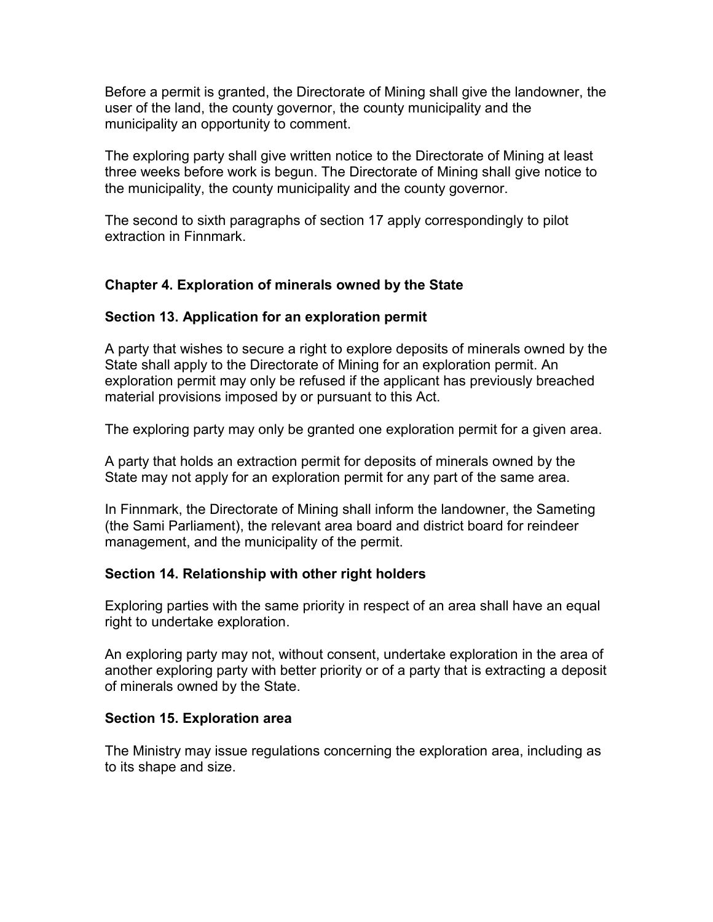Before a permit is granted, the Directorate of Mining shall give the landowner, the user of the land, the county governor, the county municipality and the municipality an opportunity to comment.

The exploring party shall give written notice to the Directorate of Mining at least three weeks before work is begun. The Directorate of Mining shall give notice to the municipality, the county municipality and the county governor.

The second to sixth paragraphs of section 17 apply correspondingly to pilot extraction in Finnmark.

## **Chapter 4. Exploration of minerals owned by the State**

## **Section 13. Application for an exploration permit**

A party that wishes to secure a right to explore deposits of minerals owned by the State shall apply to the Directorate of Mining for an exploration permit. An exploration permit may only be refused if the applicant has previously breached material provisions imposed by or pursuant to this Act.

The exploring party may only be granted one exploration permit for a given area.

A party that holds an extraction permit for deposits of minerals owned by the State may not apply for an exploration permit for any part of the same area.

In Finnmark, the Directorate of Mining shall inform the landowner, the Sameting (the Sami Parliament), the relevant area board and district board for reindeer management, and the municipality of the permit.

### **Section 14. Relationship with other right holders**

Exploring parties with the same priority in respect of an area shall have an equal right to undertake exploration.

An exploring party may not, without consent, undertake exploration in the area of another exploring party with better priority or of a party that is extracting a deposit of minerals owned by the State.

### **Section 15. Exploration area**

The Ministry may issue regulations concerning the exploration area, including as to its shape and size.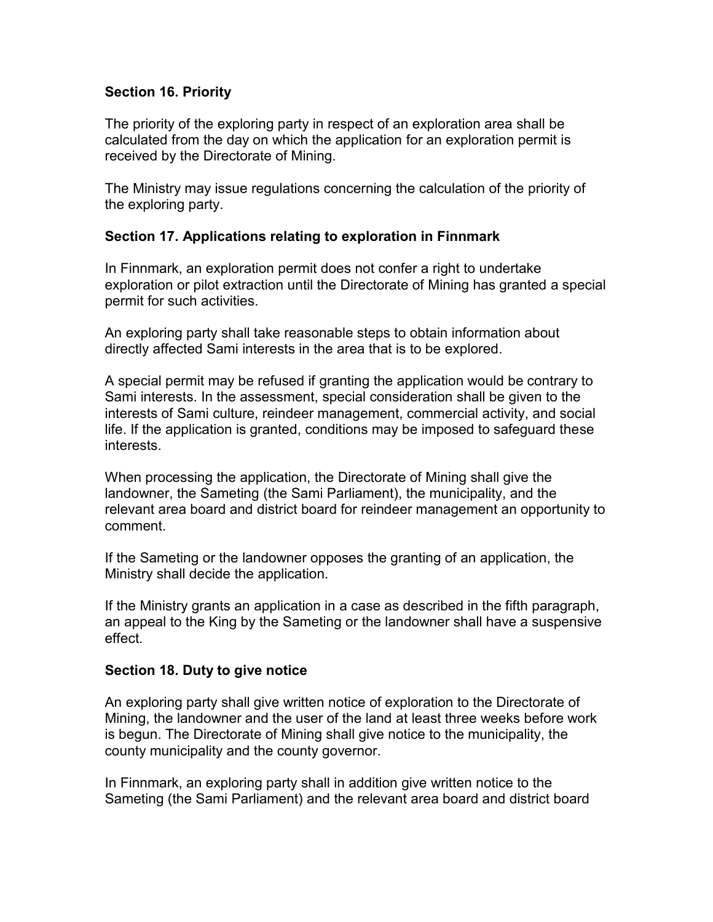### **Section 16. Priority**

The priority of the exploring party in respect of an exploration area shall be calculated from the day on which the application for an exploration permit is received by the Directorate of Mining.

The Ministry may issue regulations concerning the calculation of the priority of the exploring party.

## **Section 17. Applications relating to exploration in Finnmark**

In Finnmark, an exploration permit does not confer a right to undertake exploration or pilot extraction until the Directorate of Mining has granted a special permit for such activities.

An exploring party shall take reasonable steps to obtain information about directly affected Sami interests in the area that is to be explored.

A special permit may be refused if granting the application would be contrary to Sami interests. In the assessment, special consideration shall be given to the interests of Sami culture, reindeer management, commercial activity, and social life. If the application is granted, conditions may be imposed to safeguard these interests.

When processing the application, the Directorate of Mining shall give the landowner, the Sameting (the Sami Parliament), the municipality, and the relevant area board and district board for reindeer management an opportunity to comment.

If the Sameting or the landowner opposes the granting of an application, the Ministry shall decide the application.

If the Ministry grants an application in a case as described in the fifth paragraph, an appeal to the King by the Sameting or the landowner shall have a suspensive effect.

### **Section 18. Duty to give notice**

An exploring party shall give written notice of exploration to the Directorate of Mining, the landowner and the user of the land at least three weeks before work is begun. The Directorate of Mining shall give notice to the municipality, the county municipality and the county governor.

In Finnmark, an exploring party shall in addition give written notice to the Sameting (the Sami Parliament) and the relevant area board and district board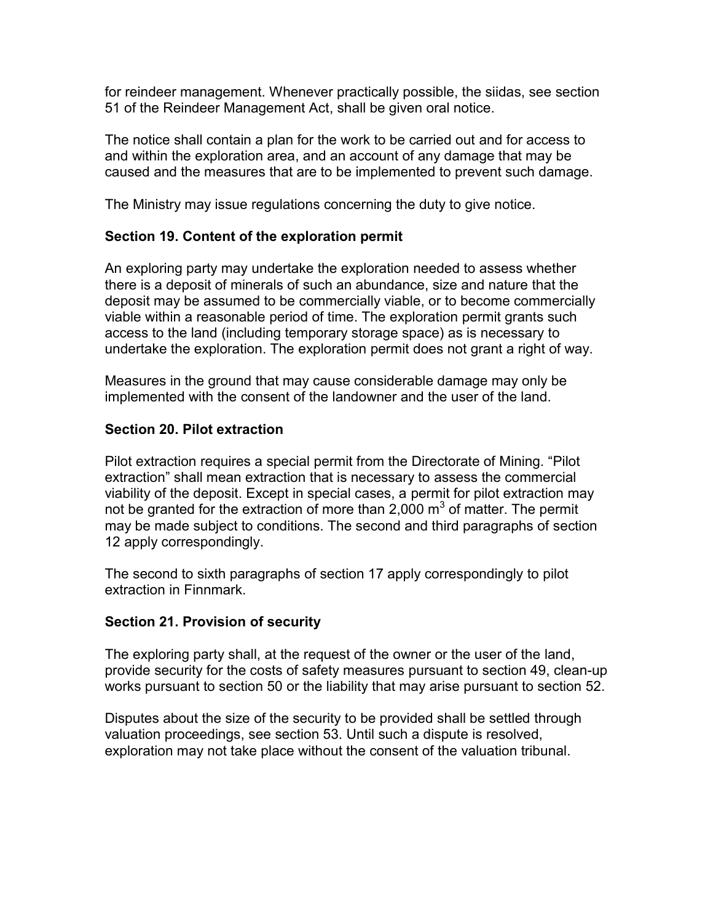for reindeer management. Whenever practically possible, the siidas, see section 51 of the Reindeer Management Act, shall be given oral notice.

The notice shall contain a plan for the work to be carried out and for access to and within the exploration area, and an account of any damage that may be caused and the measures that are to be implemented to prevent such damage.

The Ministry may issue regulations concerning the duty to give notice.

### **Section 19. Content of the exploration permit**

An exploring party may undertake the exploration needed to assess whether there is a deposit of minerals of such an abundance, size and nature that the deposit may be assumed to be commercially viable, or to become commercially viable within a reasonable period of time. The exploration permit grants such access to the land (including temporary storage space) as is necessary to undertake the exploration. The exploration permit does not grant a right of way.

Measures in the ground that may cause considerable damage may only be implemented with the consent of the landowner and the user of the land.

### **Section 20. Pilot extraction**

Pilot extraction requires a special permit from the Directorate of Mining. "Pilot extraction" shall mean extraction that is necessary to assess the commercial viability of the deposit. Except in special cases, a permit for pilot extraction may not be granted for the extraction of more than 2,000  $\text{m}^3$  of matter. The permit may be made subject to conditions. The second and third paragraphs of section 12 apply correspondingly.

The second to sixth paragraphs of section 17 apply correspondingly to pilot extraction in Finnmark.

### **Section 21. Provision of security**

The exploring party shall, at the request of the owner or the user of the land, provide security for the costs of safety measures pursuant to section 49, clean-up works pursuant to section 50 or the liability that may arise pursuant to section 52.

Disputes about the size of the security to be provided shall be settled through valuation proceedings, see section 53. Until such a dispute is resolved, exploration may not take place without the consent of the valuation tribunal.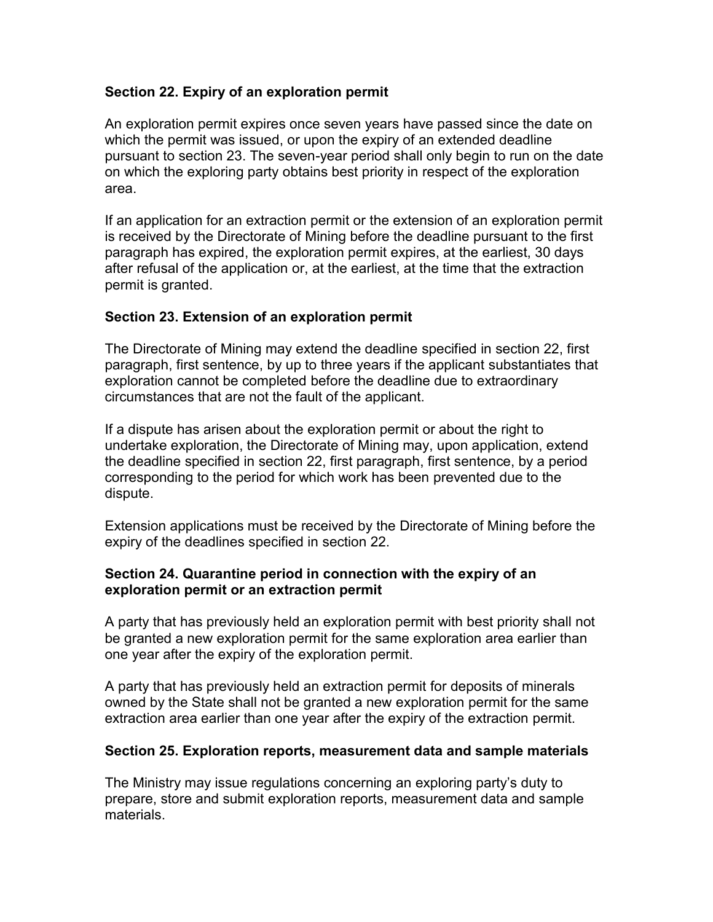## **Section 22. Expiry of an exploration permit**

An exploration permit expires once seven years have passed since the date on which the permit was issued, or upon the expiry of an extended deadline pursuant to section 23. The seven-year period shall only begin to run on the date on which the exploring party obtains best priority in respect of the exploration area.

If an application for an extraction permit or the extension of an exploration permit is received by the Directorate of Mining before the deadline pursuant to the first paragraph has expired, the exploration permit expires, at the earliest, 30 days after refusal of the application or, at the earliest, at the time that the extraction permit is granted.

## **Section 23. Extension of an exploration permit**

The Directorate of Mining may extend the deadline specified in section 22, first paragraph, first sentence, by up to three years if the applicant substantiates that exploration cannot be completed before the deadline due to extraordinary circumstances that are not the fault of the applicant.

If a dispute has arisen about the exploration permit or about the right to undertake exploration, the Directorate of Mining may, upon application, extend the deadline specified in section 22, first paragraph, first sentence, by a period corresponding to the period for which work has been prevented due to the dispute.

Extension applications must be received by the Directorate of Mining before the expiry of the deadlines specified in section 22.

### **Section 24. Quarantine period in connection with the expiry of an exploration permit or an extraction permit**

A party that has previously held an exploration permit with best priority shall not be granted a new exploration permit for the same exploration area earlier than one year after the expiry of the exploration permit.

A party that has previously held an extraction permit for deposits of minerals owned by the State shall not be granted a new exploration permit for the same extraction area earlier than one year after the expiry of the extraction permit.

### **Section 25. Exploration reports, measurement data and sample materials**

The Ministry may issue regulations concerning an exploring party's duty to prepare, store and submit exploration reports, measurement data and sample materials.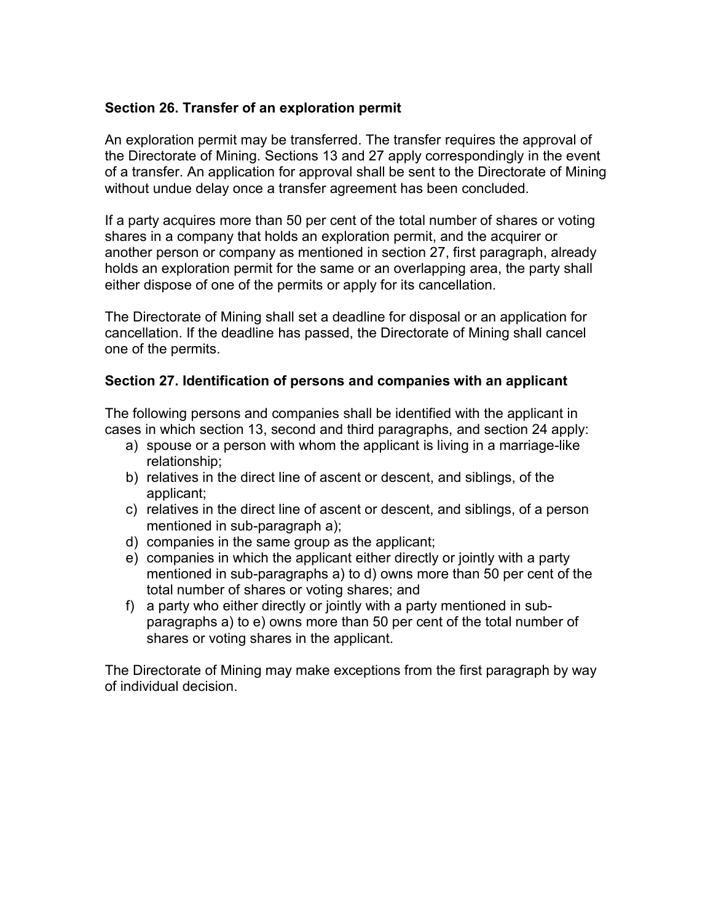### **Section 26. Transfer of an exploration permit**

An exploration permit may be transferred. The transfer requires the approval of the Directorate of Mining. Sections 13 and 27 apply correspondingly in the event of a transfer. An application for approval shall be sent to the Directorate of Mining without undue delay once a transfer agreement has been concluded.

If a party acquires more than 50 per cent of the total number of shares or voting shares in a company that holds an exploration permit, and the acquirer or another person or company as mentioned in section 27, first paragraph, already holds an exploration permit for the same or an overlapping area, the party shall either dispose of one of the permits or apply for its cancellation.

The Directorate of Mining shall set a deadline for disposal or an application for cancellation. If the deadline has passed, the Directorate of Mining shall cancel one of the permits.

## **Section 27. Identification of persons and companies with an applicant**

The following persons and companies shall be identified with the applicant in cases in which section 13, second and third paragraphs, and section 24 apply:

- a) spouse or a person with whom the applicant is living in a marriage-like relationship;
- b) relatives in the direct line of ascent or descent, and siblings, of the applicant;
- c) relatives in the direct line of ascent or descent, and siblings, of a person mentioned in sub-paragraph a);
- d) companies in the same group as the applicant;
- e) companies in which the applicant either directly or jointly with a party mentioned in sub-paragraphs a) to d) owns more than 50 per cent of the total number of shares or voting shares; and
- f) a party who either directly or jointly with a party mentioned in subparagraphs a) to e) owns more than 50 per cent of the total number of shares or voting shares in the applicant.

The Directorate of Mining may make exceptions from the first paragraph by way of individual decision.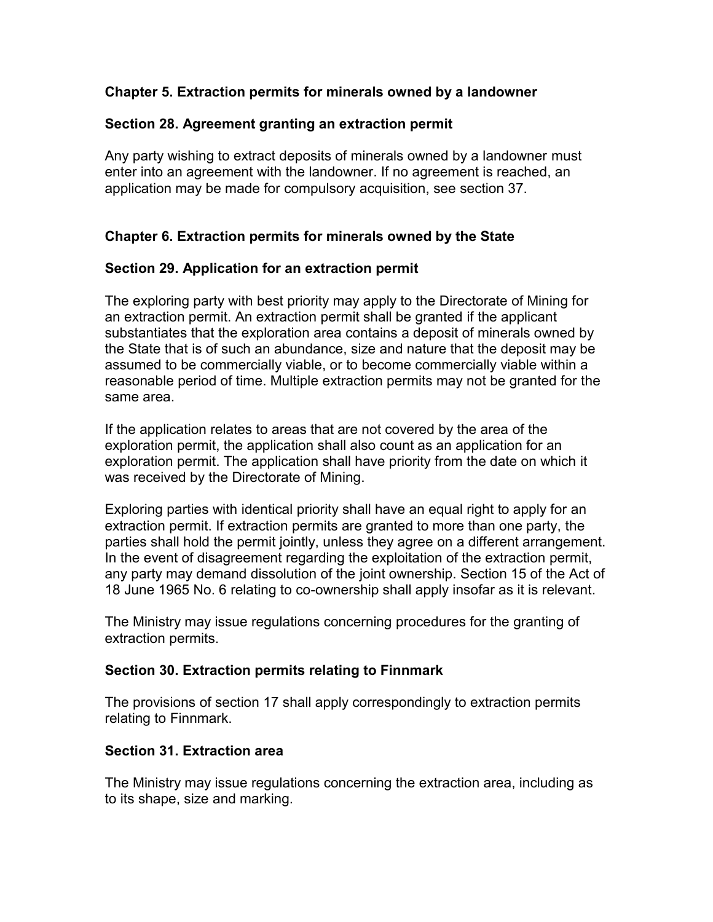## **Chapter 5. Extraction permits for minerals owned by a landowner**

### **Section 28. Agreement granting an extraction permit**

Any party wishing to extract deposits of minerals owned by a landowner must enter into an agreement with the landowner. If no agreement is reached, an application may be made for compulsory acquisition, see section 37.

## **Chapter 6. Extraction permits for minerals owned by the State**

## **Section 29. Application for an extraction permit**

The exploring party with best priority may apply to the Directorate of Mining for an extraction permit. An extraction permit shall be granted if the applicant substantiates that the exploration area contains a deposit of minerals owned by the State that is of such an abundance, size and nature that the deposit may be assumed to be commercially viable, or to become commercially viable within a reasonable period of time. Multiple extraction permits may not be granted for the same area.

If the application relates to areas that are not covered by the area of the exploration permit, the application shall also count as an application for an exploration permit. The application shall have priority from the date on which it was received by the Directorate of Mining.

Exploring parties with identical priority shall have an equal right to apply for an extraction permit. If extraction permits are granted to more than one party, the parties shall hold the permit jointly, unless they agree on a different arrangement. In the event of disagreement regarding the exploitation of the extraction permit, any party may demand dissolution of the joint ownership. Section 15 of the Act of 18 June 1965 No. 6 relating to co-ownership shall apply insofar as it is relevant.

The Ministry may issue regulations concerning procedures for the granting of extraction permits.

### **Section 30. Extraction permits relating to Finnmark**

The provisions of section 17 shall apply correspondingly to extraction permits relating to Finnmark.

### **Section 31. Extraction area**

The Ministry may issue regulations concerning the extraction area, including as to its shape, size and marking.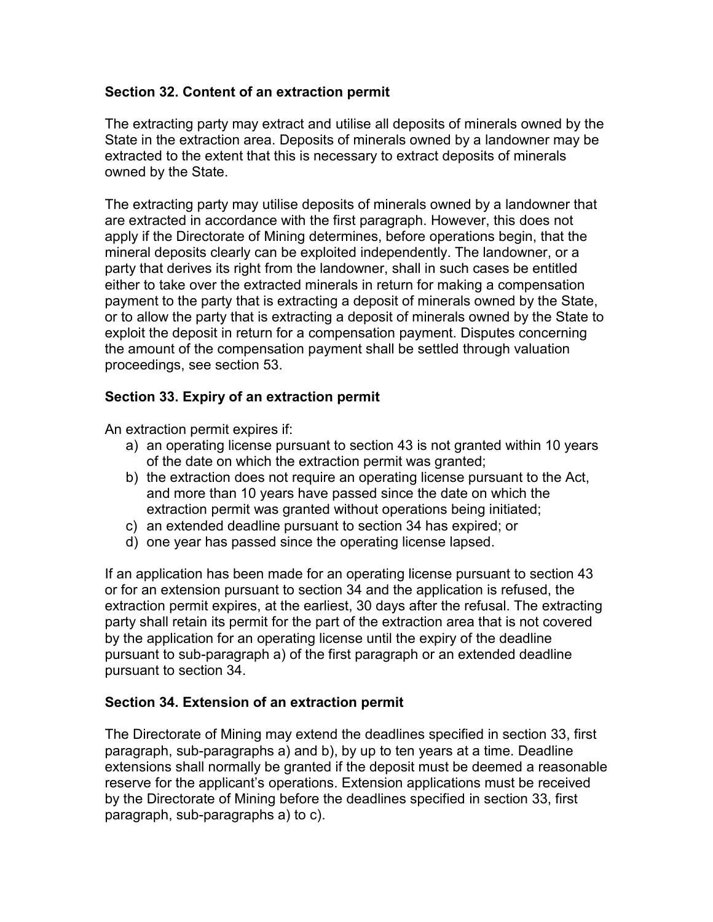## **Section 32. Content of an extraction permit**

The extracting party may extract and utilise all deposits of minerals owned by the State in the extraction area. Deposits of minerals owned by a landowner may be extracted to the extent that this is necessary to extract deposits of minerals owned by the State.

The extracting party may utilise deposits of minerals owned by a landowner that are extracted in accordance with the first paragraph. However, this does not apply if the Directorate of Mining determines, before operations begin, that the mineral deposits clearly can be exploited independently. The landowner, or a party that derives its right from the landowner, shall in such cases be entitled either to take over the extracted minerals in return for making a compensation payment to the party that is extracting a deposit of minerals owned by the State, or to allow the party that is extracting a deposit of minerals owned by the State to exploit the deposit in return for a compensation payment. Disputes concerning the amount of the compensation payment shall be settled through valuation proceedings, see section 53.

## **Section 33. Expiry of an extraction permit**

An extraction permit expires if:

- a) an operating license pursuant to section 43 is not granted within 10 years of the date on which the extraction permit was granted;
- b) the extraction does not require an operating license pursuant to the Act, and more than 10 years have passed since the date on which the extraction permit was granted without operations being initiated;
- c) an extended deadline pursuant to section 34 has expired; or
- d) one year has passed since the operating license lapsed.

If an application has been made for an operating license pursuant to section 43 or for an extension pursuant to section 34 and the application is refused, the extraction permit expires, at the earliest, 30 days after the refusal. The extracting party shall retain its permit for the part of the extraction area that is not covered by the application for an operating license until the expiry of the deadline pursuant to sub-paragraph a) of the first paragraph or an extended deadline pursuant to section 34.

### **Section 34. Extension of an extraction permit**

The Directorate of Mining may extend the deadlines specified in section 33, first paragraph, sub-paragraphs a) and b), by up to ten years at a time. Deadline extensions shall normally be granted if the deposit must be deemed a reasonable reserve for the applicant's operations. Extension applications must be received by the Directorate of Mining before the deadlines specified in section 33, first paragraph, sub-paragraphs a) to c).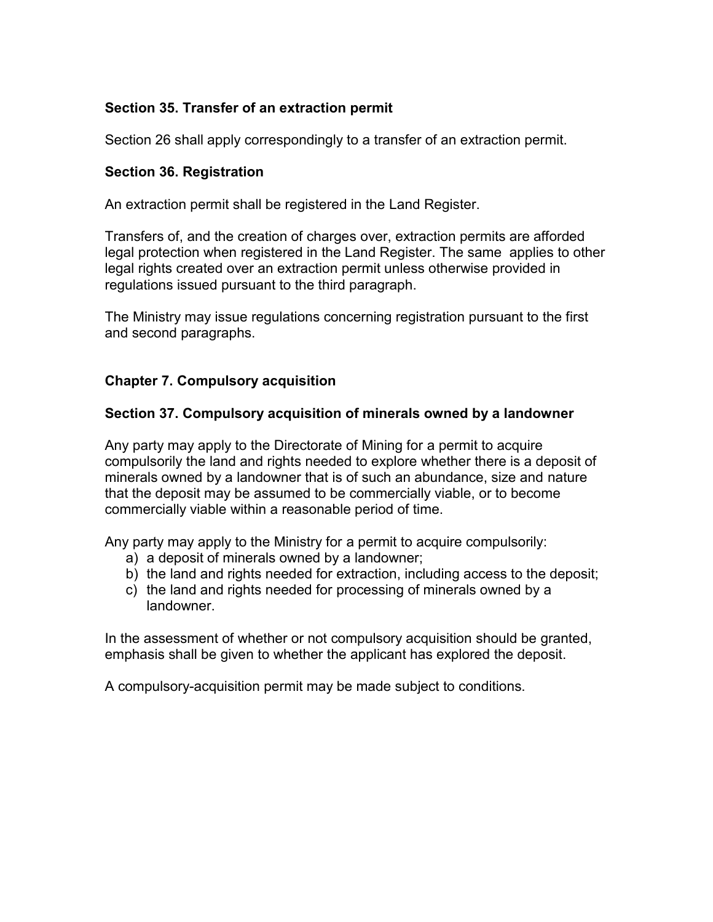## **Section 35. Transfer of an extraction permit**

Section 26 shall apply correspondingly to a transfer of an extraction permit.

#### **Section 36. Registration**

An extraction permit shall be registered in the Land Register.

Transfers of, and the creation of charges over, extraction permits are afforded legal protection when registered in the Land Register. The same applies to other legal rights created over an extraction permit unless otherwise provided in regulations issued pursuant to the third paragraph.

The Ministry may issue regulations concerning registration pursuant to the first and second paragraphs.

### **Chapter 7. Compulsory acquisition**

#### **Section 37. Compulsory acquisition of minerals owned by a landowner**

Any party may apply to the Directorate of Mining for a permit to acquire compulsorily the land and rights needed to explore whether there is a deposit of minerals owned by a landowner that is of such an abundance, size and nature that the deposit may be assumed to be commercially viable, or to become commercially viable within a reasonable period of time.

Any party may apply to the Ministry for a permit to acquire compulsorily:

- a) a deposit of minerals owned by a landowner;
- b) the land and rights needed for extraction, including access to the deposit;
- c) the land and rights needed for processing of minerals owned by a landowner.

In the assessment of whether or not compulsory acquisition should be granted, emphasis shall be given to whether the applicant has explored the deposit.

A compulsory-acquisition permit may be made subject to conditions.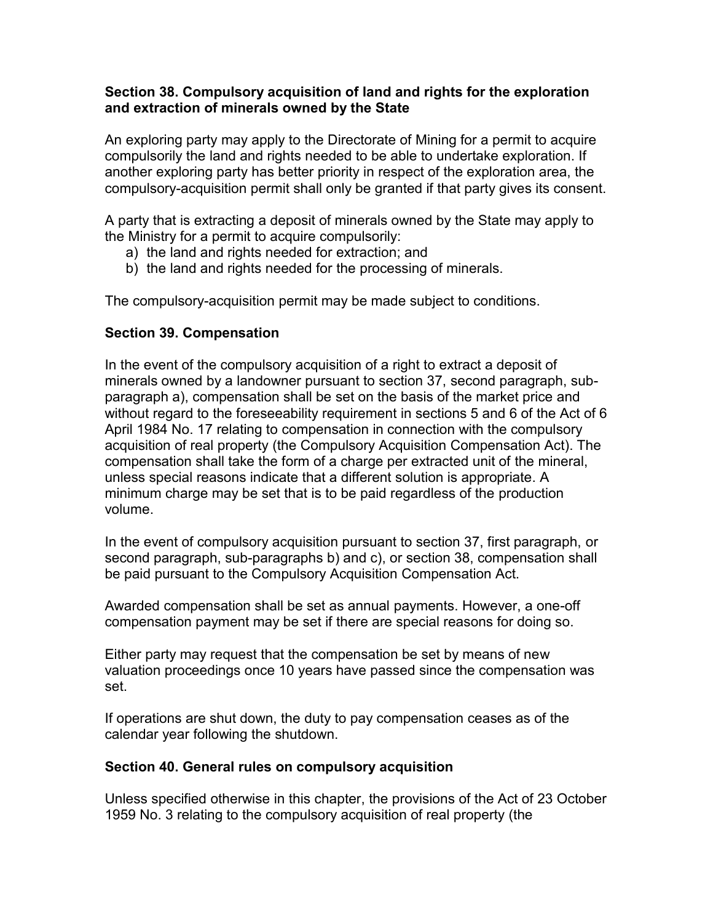#### **Section 38. Compulsory acquisition of land and rights for the exploration and extraction of minerals owned by the State**

An exploring party may apply to the Directorate of Mining for a permit to acquire compulsorily the land and rights needed to be able to undertake exploration. If another exploring party has better priority in respect of the exploration area, the compulsory-acquisition permit shall only be granted if that party gives its consent.

A party that is extracting a deposit of minerals owned by the State may apply to the Ministry for a permit to acquire compulsorily:

- a) the land and rights needed for extraction; and
- b) the land and rights needed for the processing of minerals.

The compulsory-acquisition permit may be made subject to conditions.

## **Section 39. Compensation**

In the event of the compulsory acquisition of a right to extract a deposit of minerals owned by a landowner pursuant to section 37, second paragraph, subparagraph a), compensation shall be set on the basis of the market price and without regard to the foreseeability requirement in sections 5 and 6 of the Act of 6 April 1984 No. 17 relating to compensation in connection with the compulsory acquisition of real property (the Compulsory Acquisition Compensation Act). The compensation shall take the form of a charge per extracted unit of the mineral, unless special reasons indicate that a different solution is appropriate. A minimum charge may be set that is to be paid regardless of the production volume.

In the event of compulsory acquisition pursuant to section 37, first paragraph, or second paragraph, sub-paragraphs b) and c), or section 38, compensation shall be paid pursuant to the Compulsory Acquisition Compensation Act.

Awarded compensation shall be set as annual payments. However, a one-off compensation payment may be set if there are special reasons for doing so.

Either party may request that the compensation be set by means of new valuation proceedings once 10 years have passed since the compensation was set.

If operations are shut down, the duty to pay compensation ceases as of the calendar year following the shutdown.

### **Section 40. General rules on compulsory acquisition**

Unless specified otherwise in this chapter, the provisions of the Act of 23 October 1959 No. 3 relating to the compulsory acquisition of real property (the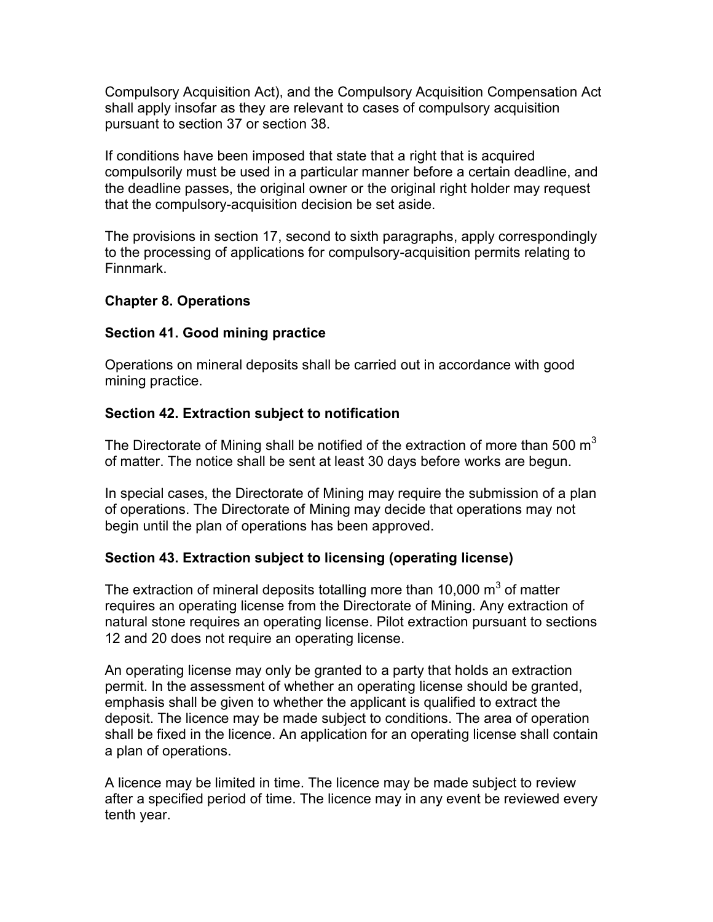Compulsory Acquisition Act), and the Compulsory Acquisition Compensation Act shall apply insofar as they are relevant to cases of compulsory acquisition pursuant to section 37 or section 38.

If conditions have been imposed that state that a right that is acquired compulsorily must be used in a particular manner before a certain deadline, and the deadline passes, the original owner or the original right holder may request that the compulsory-acquisition decision be set aside.

The provisions in section 17, second to sixth paragraphs, apply correspondingly to the processing of applications for compulsory-acquisition permits relating to Finnmark.

## **Chapter 8. Operations**

## **Section 41. Good mining practice**

Operations on mineral deposits shall be carried out in accordance with good mining practice.

## **Section 42. Extraction subject to notification**

The Directorate of Mining shall be notified of the extraction of more than 500  $m<sup>3</sup>$ of matter. The notice shall be sent at least 30 days before works are begun.

In special cases, the Directorate of Mining may require the submission of a plan of operations. The Directorate of Mining may decide that operations may not begin until the plan of operations has been approved.

### **Section 43. Extraction subject to licensing (operating license)**

The extraction of mineral deposits totalling more than 10,000  $\text{m}^{3}$  of matter requires an operating license from the Directorate of Mining. Any extraction of natural stone requires an operating license. Pilot extraction pursuant to sections 12 and 20 does not require an operating license.

An operating license may only be granted to a party that holds an extraction permit. In the assessment of whether an operating license should be granted, emphasis shall be given to whether the applicant is qualified to extract the deposit. The licence may be made subject to conditions. The area of operation shall be fixed in the licence. An application for an operating license shall contain a plan of operations.

A licence may be limited in time. The licence may be made subject to review after a specified period of time. The licence may in any event be reviewed every tenth year.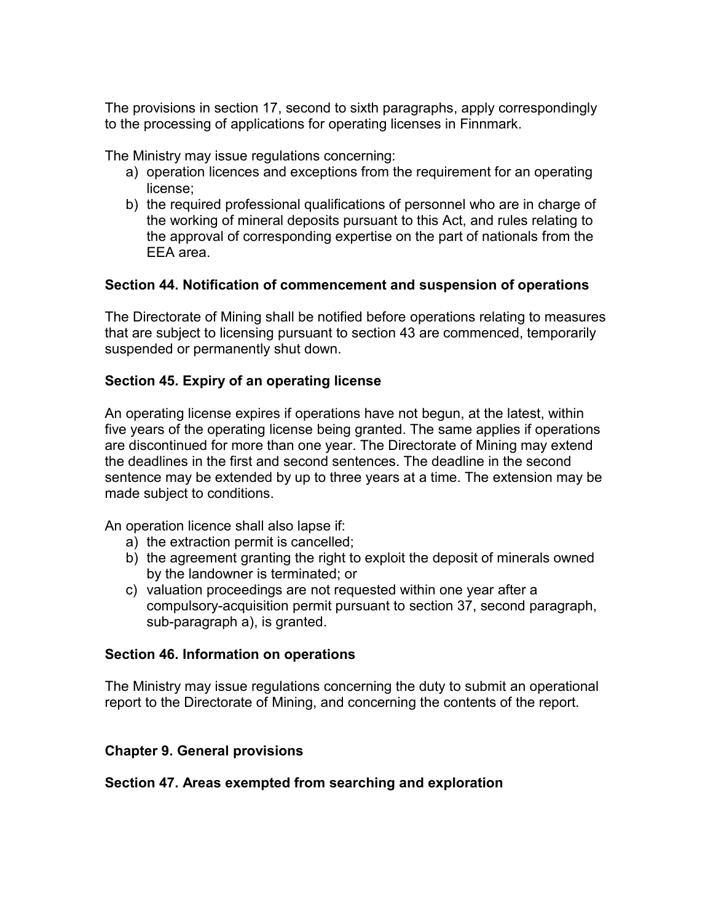The provisions in section 17, second to sixth paragraphs, apply correspondingly to the processing of applications for operating licenses in Finnmark.

The Ministry may issue regulations concerning:

- a) operation licences and exceptions from the requirement for an operating license;
- b) the required professional qualifications of personnel who are in charge of the working of mineral deposits pursuant to this Act, and rules relating to the approval of corresponding expertise on the part of nationals from the EEA area.

## **Section 44. Notification of commencement and suspension of operations**

The Directorate of Mining shall be notified before operations relating to measures that are subject to licensing pursuant to section 43 are commenced, temporarily suspended or permanently shut down.

## **Section 45. Expiry of an operating license**

An operating license expires if operations have not begun, at the latest, within five years of the operating license being granted. The same applies if operations are discontinued for more than one year. The Directorate of Mining may extend the deadlines in the first and second sentences. The deadline in the second sentence may be extended by up to three years at a time. The extension may be made subject to conditions.

An operation licence shall also lapse if:

- a) the extraction permit is cancelled;
- b) the agreement granting the right to exploit the deposit of minerals owned by the landowner is terminated; or
- c) valuation proceedings are not requested within one year after a compulsory-acquisition permit pursuant to section 37, second paragraph, sub-paragraph a), is granted.

### **Section 46. Information on operations**

The Ministry may issue regulations concerning the duty to submit an operational report to the Directorate of Mining, and concerning the contents of the report.

### **Chapter 9. General provisions**

### **Section 47. Areas exempted from searching and exploration**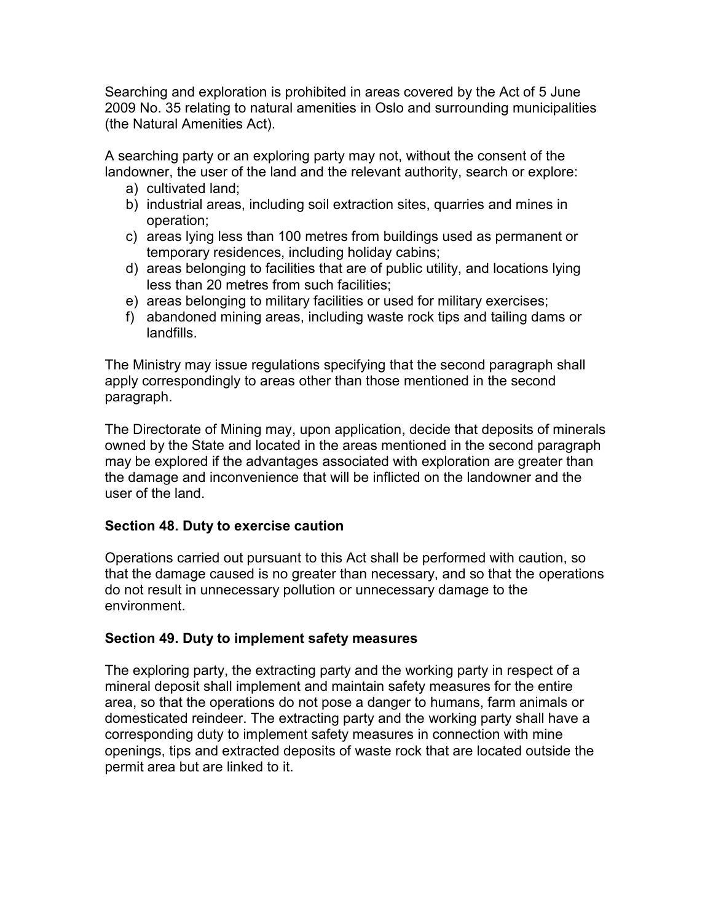Searching and exploration is prohibited in areas covered by the Act of 5 June 2009 No. 35 relating to natural amenities in Oslo and surrounding municipalities (the Natural Amenities Act).

A searching party or an exploring party may not, without the consent of the landowner, the user of the land and the relevant authority, search or explore:

- a) cultivated land;
- b) industrial areas, including soil extraction sites, quarries and mines in operation;
- c) areas lying less than 100 metres from buildings used as permanent or temporary residences, including holiday cabins;
- d) areas belonging to facilities that are of public utility, and locations lying less than 20 metres from such facilities;
- e) areas belonging to military facilities or used for military exercises;
- f) abandoned mining areas, including waste rock tips and tailing dams or landfills.

The Ministry may issue regulations specifying that the second paragraph shall apply correspondingly to areas other than those mentioned in the second paragraph.

The Directorate of Mining may, upon application, decide that deposits of minerals owned by the State and located in the areas mentioned in the second paragraph may be explored if the advantages associated with exploration are greater than the damage and inconvenience that will be inflicted on the landowner and the user of the land.

## **Section 48. Duty to exercise caution**

Operations carried out pursuant to this Act shall be performed with caution, so that the damage caused is no greater than necessary, and so that the operations do not result in unnecessary pollution or unnecessary damage to the environment.

# **Section 49. Duty to implement safety measures**

The exploring party, the extracting party and the working party in respect of a mineral deposit shall implement and maintain safety measures for the entire area, so that the operations do not pose a danger to humans, farm animals or domesticated reindeer. The extracting party and the working party shall have a corresponding duty to implement safety measures in connection with mine openings, tips and extracted deposits of waste rock that are located outside the permit area but are linked to it.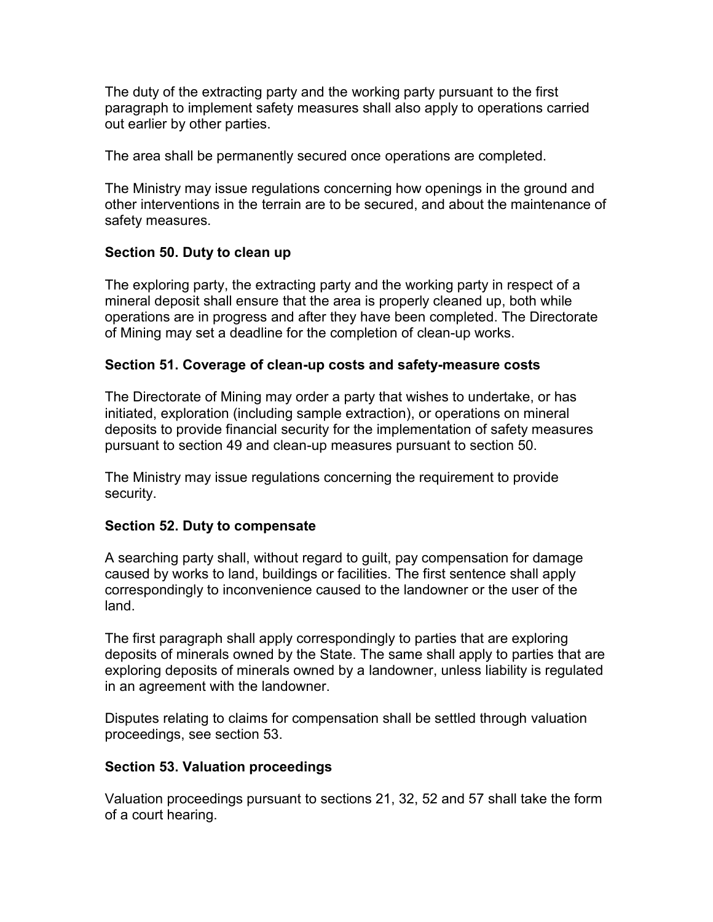The duty of the extracting party and the working party pursuant to the first paragraph to implement safety measures shall also apply to operations carried out earlier by other parties.

The area shall be permanently secured once operations are completed.

The Ministry may issue regulations concerning how openings in the ground and other interventions in the terrain are to be secured, and about the maintenance of safety measures.

## **Section 50. Duty to clean up**

The exploring party, the extracting party and the working party in respect of a mineral deposit shall ensure that the area is properly cleaned up, both while operations are in progress and after they have been completed. The Directorate of Mining may set a deadline for the completion of clean-up works.

## **Section 51. Coverage of clean-up costs and safety-measure costs**

The Directorate of Mining may order a party that wishes to undertake, or has initiated, exploration (including sample extraction), or operations on mineral deposits to provide financial security for the implementation of safety measures pursuant to section 49 and clean-up measures pursuant to section 50.

The Ministry may issue regulations concerning the requirement to provide security.

## **Section 52. Duty to compensate**

A searching party shall, without regard to guilt, pay compensation for damage caused by works to land, buildings or facilities. The first sentence shall apply correspondingly to inconvenience caused to the landowner or the user of the land.

The first paragraph shall apply correspondingly to parties that are exploring deposits of minerals owned by the State. The same shall apply to parties that are exploring deposits of minerals owned by a landowner, unless liability is regulated in an agreement with the landowner.

Disputes relating to claims for compensation shall be settled through valuation proceedings, see section 53.

# **Section 53. Valuation proceedings**

Valuation proceedings pursuant to sections 21, 32, 52 and 57 shall take the form of a court hearing.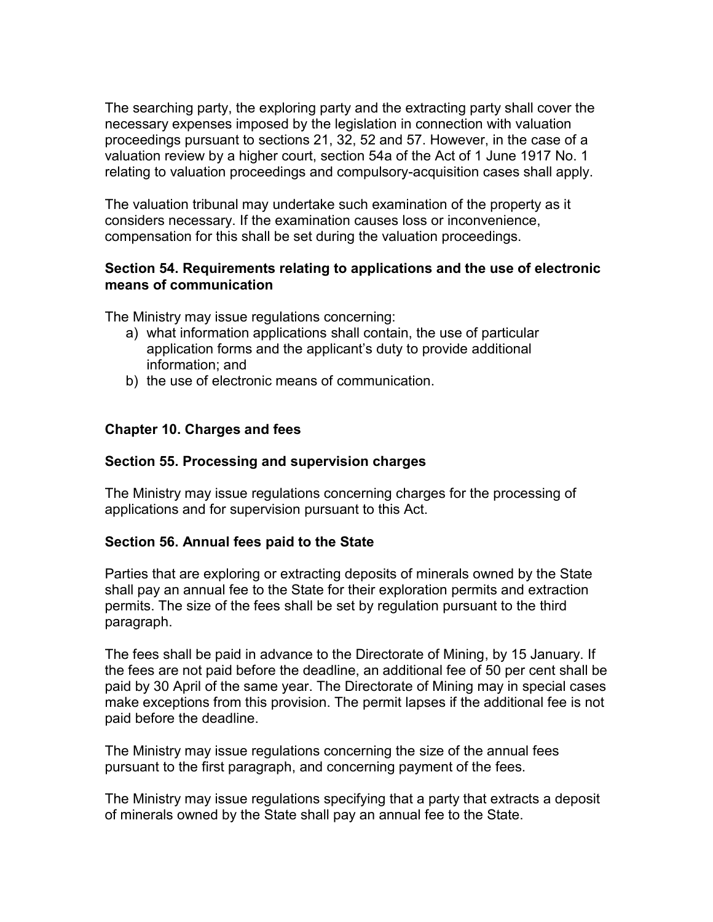The searching party, the exploring party and the extracting party shall cover the necessary expenses imposed by the legislation in connection with valuation proceedings pursuant to sections 21, 32, 52 and 57. However, in the case of a valuation review by a higher court, section 54a of the Act of 1 June 1917 No. 1 relating to valuation proceedings and compulsory-acquisition cases shall apply.

The valuation tribunal may undertake such examination of the property as it considers necessary. If the examination causes loss or inconvenience, compensation for this shall be set during the valuation proceedings.

## **Section 54. Requirements relating to applications and the use of electronic means of communication**

The Ministry may issue regulations concerning:

- a) what information applications shall contain, the use of particular application forms and the applicant's duty to provide additional information; and
- b) the use of electronic means of communication.

## **Chapter 10. Charges and fees**

### **Section 55. Processing and supervision charges**

The Ministry may issue regulations concerning charges for the processing of applications and for supervision pursuant to this Act.

### **Section 56. Annual fees paid to the State**

Parties that are exploring or extracting deposits of minerals owned by the State shall pay an annual fee to the State for their exploration permits and extraction permits. The size of the fees shall be set by regulation pursuant to the third paragraph.

The fees shall be paid in advance to the Directorate of Mining, by 15 January. If the fees are not paid before the deadline, an additional fee of 50 per cent shall be paid by 30 April of the same year. The Directorate of Mining may in special cases make exceptions from this provision. The permit lapses if the additional fee is not paid before the deadline.

The Ministry may issue regulations concerning the size of the annual fees pursuant to the first paragraph, and concerning payment of the fees.

The Ministry may issue regulations specifying that a party that extracts a deposit of minerals owned by the State shall pay an annual fee to the State.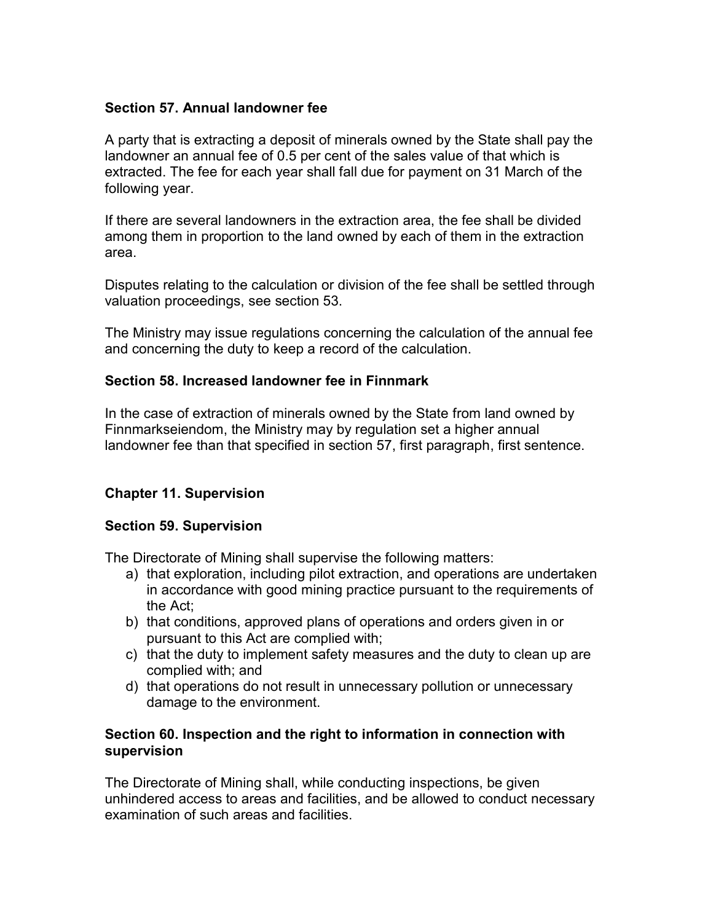### **Section 57. Annual landowner fee**

A party that is extracting a deposit of minerals owned by the State shall pay the landowner an annual fee of 0.5 per cent of the sales value of that which is extracted. The fee for each year shall fall due for payment on 31 March of the following year.

If there are several landowners in the extraction area, the fee shall be divided among them in proportion to the land owned by each of them in the extraction area.

Disputes relating to the calculation or division of the fee shall be settled through valuation proceedings, see section 53.

The Ministry may issue regulations concerning the calculation of the annual fee and concerning the duty to keep a record of the calculation.

## **Section 58. Increased landowner fee in Finnmark**

In the case of extraction of minerals owned by the State from land owned by Finnmarkseiendom, the Ministry may by regulation set a higher annual landowner fee than that specified in section 57, first paragraph, first sentence.

## **Chapter 11. Supervision**

### **Section 59. Supervision**

The Directorate of Mining shall supervise the following matters:

- a) that exploration, including pilot extraction, and operations are undertaken in accordance with good mining practice pursuant to the requirements of the Act;
- b) that conditions, approved plans of operations and orders given in or pursuant to this Act are complied with;
- c) that the duty to implement safety measures and the duty to clean up are complied with; and
- d) that operations do not result in unnecessary pollution or unnecessary damage to the environment.

### **Section 60. Inspection and the right to information in connection with supervision**

The Directorate of Mining shall, while conducting inspections, be given unhindered access to areas and facilities, and be allowed to conduct necessary examination of such areas and facilities.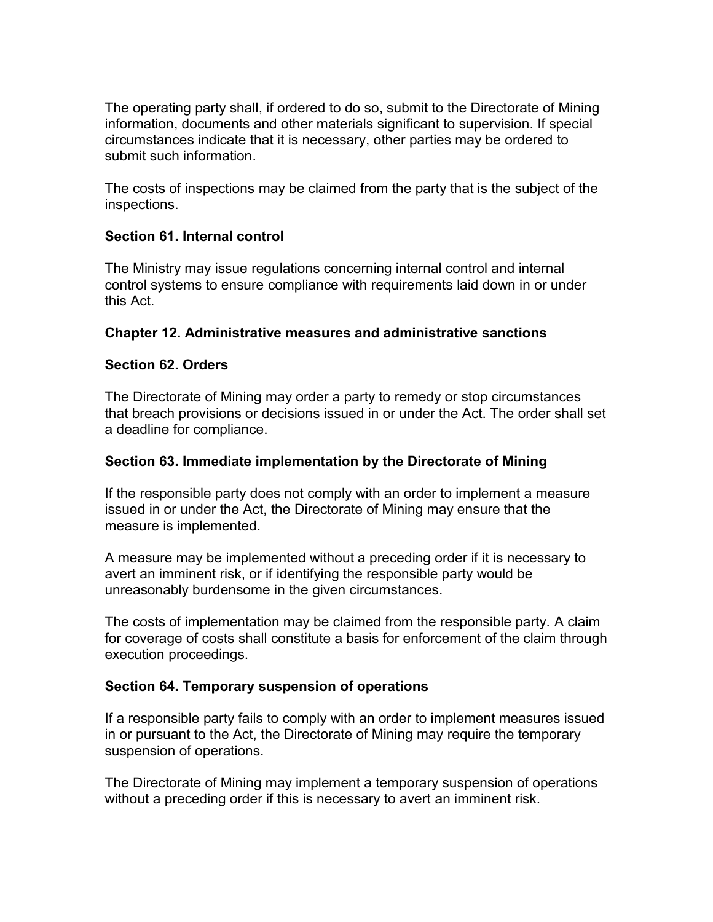The operating party shall, if ordered to do so, submit to the Directorate of Mining information, documents and other materials significant to supervision. If special circumstances indicate that it is necessary, other parties may be ordered to submit such information.

The costs of inspections may be claimed from the party that is the subject of the inspections.

## **Section 61. Internal control**

The Ministry may issue regulations concerning internal control and internal control systems to ensure compliance with requirements laid down in or under this Act.

## **Chapter 12. Administrative measures and administrative sanctions**

## **Section 62. Orders**

The Directorate of Mining may order a party to remedy or stop circumstances that breach provisions or decisions issued in or under the Act. The order shall set a deadline for compliance.

### **Section 63. Immediate implementation by the Directorate of Mining**

If the responsible party does not comply with an order to implement a measure issued in or under the Act, the Directorate of Mining may ensure that the measure is implemented.

A measure may be implemented without a preceding order if it is necessary to avert an imminent risk, or if identifying the responsible party would be unreasonably burdensome in the given circumstances.

The costs of implementation may be claimed from the responsible party. A claim for coverage of costs shall constitute a basis for enforcement of the claim through execution proceedings.

### **Section 64. Temporary suspension of operations**

If a responsible party fails to comply with an order to implement measures issued in or pursuant to the Act, the Directorate of Mining may require the temporary suspension of operations.

The Directorate of Mining may implement a temporary suspension of operations without a preceding order if this is necessary to avert an imminent risk.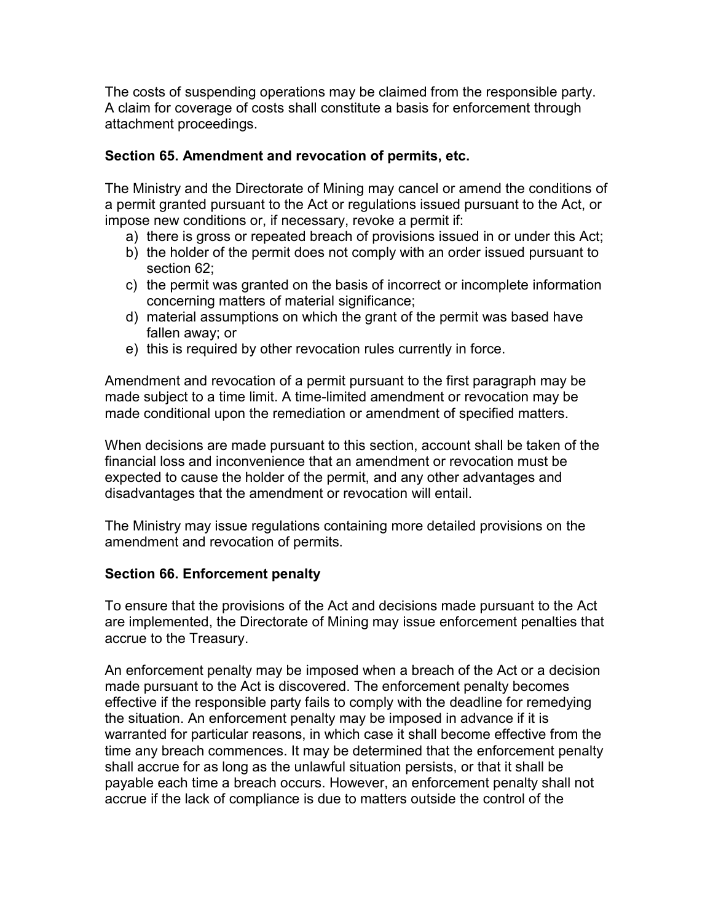The costs of suspending operations may be claimed from the responsible party. A claim for coverage of costs shall constitute a basis for enforcement through attachment proceedings.

### **Section 65. Amendment and revocation of permits, etc.**

The Ministry and the Directorate of Mining may cancel or amend the conditions of a permit granted pursuant to the Act or regulations issued pursuant to the Act, or impose new conditions or, if necessary, revoke a permit if:

- a) there is gross or repeated breach of provisions issued in or under this Act;
- b) the holder of the permit does not comply with an order issued pursuant to section 62;
- c) the permit was granted on the basis of incorrect or incomplete information concerning matters of material significance;
- d) material assumptions on which the grant of the permit was based have fallen away; or
- e) this is required by other revocation rules currently in force.

Amendment and revocation of a permit pursuant to the first paragraph may be made subject to a time limit. A time-limited amendment or revocation may be made conditional upon the remediation or amendment of specified matters.

When decisions are made pursuant to this section, account shall be taken of the financial loss and inconvenience that an amendment or revocation must be expected to cause the holder of the permit, and any other advantages and disadvantages that the amendment or revocation will entail.

The Ministry may issue regulations containing more detailed provisions on the amendment and revocation of permits.

## **Section 66. Enforcement penalty**

To ensure that the provisions of the Act and decisions made pursuant to the Act are implemented, the Directorate of Mining may issue enforcement penalties that accrue to the Treasury.

An enforcement penalty may be imposed when a breach of the Act or a decision made pursuant to the Act is discovered. The enforcement penalty becomes effective if the responsible party fails to comply with the deadline for remedying the situation. An enforcement penalty may be imposed in advance if it is warranted for particular reasons, in which case it shall become effective from the time any breach commences. It may be determined that the enforcement penalty shall accrue for as long as the unlawful situation persists, or that it shall be payable each time a breach occurs. However, an enforcement penalty shall not accrue if the lack of compliance is due to matters outside the control of the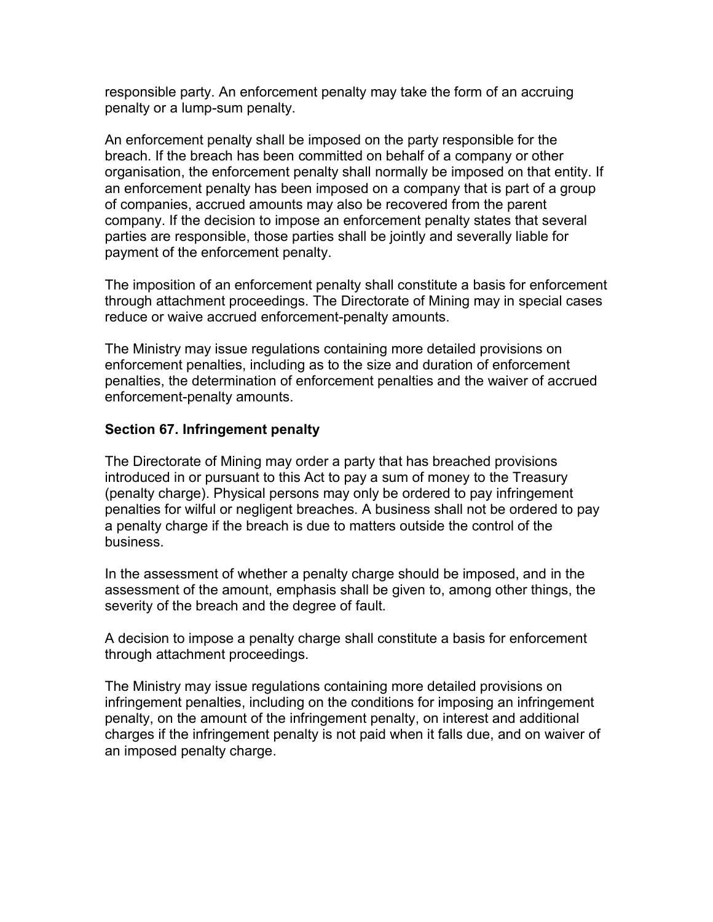responsible party. An enforcement penalty may take the form of an accruing penalty or a lump-sum penalty.

An enforcement penalty shall be imposed on the party responsible for the breach. If the breach has been committed on behalf of a company or other organisation, the enforcement penalty shall normally be imposed on that entity. If an enforcement penalty has been imposed on a company that is part of a group of companies, accrued amounts may also be recovered from the parent company. If the decision to impose an enforcement penalty states that several parties are responsible, those parties shall be jointly and severally liable for payment of the enforcement penalty.

The imposition of an enforcement penalty shall constitute a basis for enforcement through attachment proceedings. The Directorate of Mining may in special cases reduce or waive accrued enforcement-penalty amounts.

The Ministry may issue regulations containing more detailed provisions on enforcement penalties, including as to the size and duration of enforcement penalties, the determination of enforcement penalties and the waiver of accrued enforcement-penalty amounts.

### **Section 67. Infringement penalty**

The Directorate of Mining may order a party that has breached provisions introduced in or pursuant to this Act to pay a sum of money to the Treasury (penalty charge). Physical persons may only be ordered to pay infringement penalties for wilful or negligent breaches. A business shall not be ordered to pay a penalty charge if the breach is due to matters outside the control of the business.

In the assessment of whether a penalty charge should be imposed, and in the assessment of the amount, emphasis shall be given to, among other things, the severity of the breach and the degree of fault.

A decision to impose a penalty charge shall constitute a basis for enforcement through attachment proceedings.

The Ministry may issue regulations containing more detailed provisions on infringement penalties, including on the conditions for imposing an infringement penalty, on the amount of the infringement penalty, on interest and additional charges if the infringement penalty is not paid when it falls due, and on waiver of an imposed penalty charge.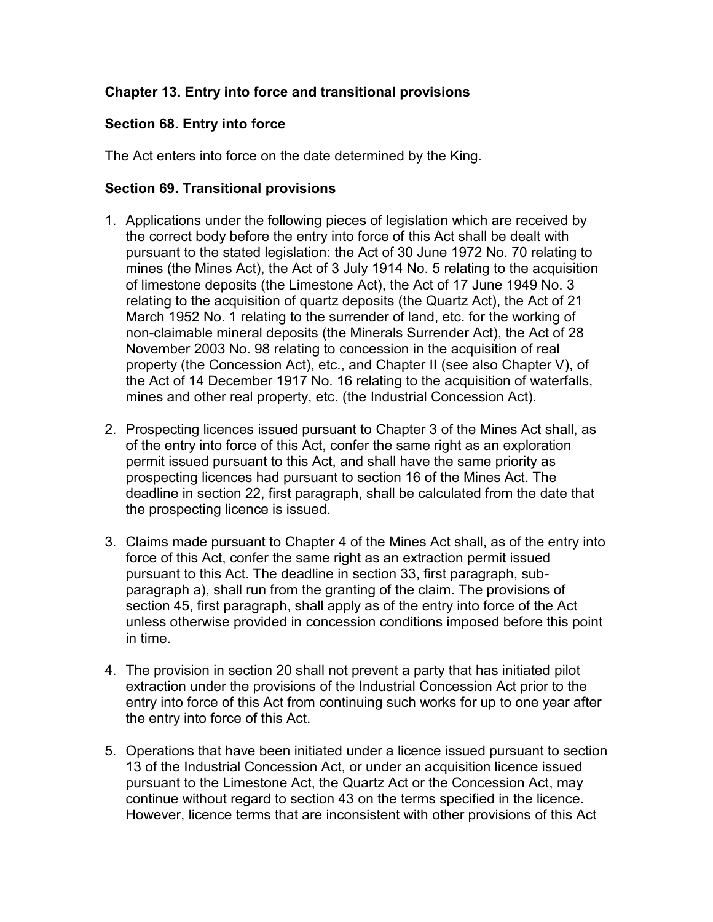## **Chapter 13. Entry into force and transitional provisions**

## **Section 68. Entry into force**

The Act enters into force on the date determined by the King.

## **Section 69. Transitional provisions**

- 1. Applications under the following pieces of legislation which are received by the correct body before the entry into force of this Act shall be dealt with pursuant to the stated legislation: the Act of 30 June 1972 No. 70 relating to mines (the Mines Act), the Act of 3 July 1914 No. 5 relating to the acquisition of limestone deposits (the Limestone Act), the Act of 17 June 1949 No. 3 relating to the acquisition of quartz deposits (the Quartz Act), the Act of 21 March 1952 No. 1 relating to the surrender of land, etc. for the working of non-claimable mineral deposits (the Minerals Surrender Act), the Act of 28 November 2003 No. 98 relating to concession in the acquisition of real property (the Concession Act), etc., and Chapter II (see also Chapter V), of the Act of 14 December 1917 No. 16 relating to the acquisition of waterfalls, mines and other real property, etc. (the Industrial Concession Act).
- 2. Prospecting licences issued pursuant to Chapter 3 of the Mines Act shall, as of the entry into force of this Act, confer the same right as an exploration permit issued pursuant to this Act, and shall have the same priority as prospecting licences had pursuant to section 16 of the Mines Act. The deadline in section 22, first paragraph, shall be calculated from the date that the prospecting licence is issued.
- 3. Claims made pursuant to Chapter 4 of the Mines Act shall, as of the entry into force of this Act, confer the same right as an extraction permit issued pursuant to this Act. The deadline in section 33, first paragraph, subparagraph a), shall run from the granting of the claim. The provisions of section 45, first paragraph, shall apply as of the entry into force of the Act unless otherwise provided in concession conditions imposed before this point in time.
- 4. The provision in section 20 shall not prevent a party that has initiated pilot extraction under the provisions of the Industrial Concession Act prior to the entry into force of this Act from continuing such works for up to one year after the entry into force of this Act.
- 5. Operations that have been initiated under a licence issued pursuant to section 13 of the Industrial Concession Act, or under an acquisition licence issued pursuant to the Limestone Act, the Quartz Act or the Concession Act, may continue without regard to section 43 on the terms specified in the licence. However, licence terms that are inconsistent with other provisions of this Act